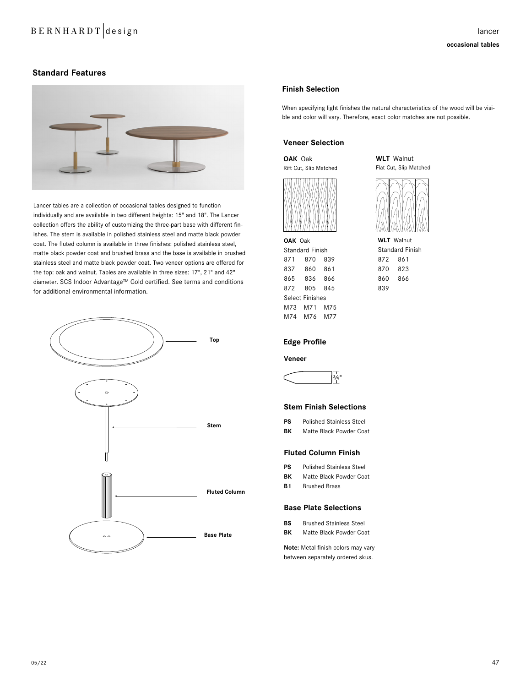# B E R N H A R D T design lancer

# **Standard Features**



Lancer tables are a collection of occasional tables designed to function individually and are available in two different heights: 15" and 18". The Lancer collection offers the ability of customizing the three-part base with different finishes. The stem is available in polished stainless steel and matte black powder coat. The fluted column is available in three finishes: polished stainless steel, matte black powder coat and brushed brass and the base is available in brushed stainless steel and matte black powder coat. Two veneer options are offered for the top: oak and walnut. Tables are available in three sizes: 17", 21" and 42" diameter. SCS Indoor Advantage™ Gold certified. See terms and conditions for additional environmental information.



## **Finish Selection**

When specifying light finishes the natural characteristics of the wood will be visible and color will vary. Therefore, exact color matches are not possible.

# **Veneer Selection**

**OAK** Oak Rift Cut, Slip Matched



**OAK** Oak Standard Finish 871 870 839 837 860 861 865 836 866 872 805 845 Select Finishes M73 M71 M75 M74 M76 M77

Flat Cut, Slip Matched

**WLT** Walnut



#### **Edge Profile**

#### **Veneer**



#### **Stem Finish Selections**

| PS           | <b>Polished Stainless Steel</b>                    |
|--------------|----------------------------------------------------|
| $F^{\prime}$ | $M_{\odot}$ $M_{\odot}$ Distribution $\Omega$ is a |

**BK** Matte Black Powder Coat

# **Fluted Column Finish**

- **PS** Polished Stainless Steel
- **BK** Matte Black Powder Coat
- **B1** Brushed Brass

## **Base Plate Selections**

| <b>BS</b> | <b>Brushed Stainless Steel</b> |  |  |  |  |  |  |  |
|-----------|--------------------------------|--|--|--|--|--|--|--|
| BК        | Matte Black Powder Coat        |  |  |  |  |  |  |  |

**Note:** Metal finish colors may vary between separately ordered skus.